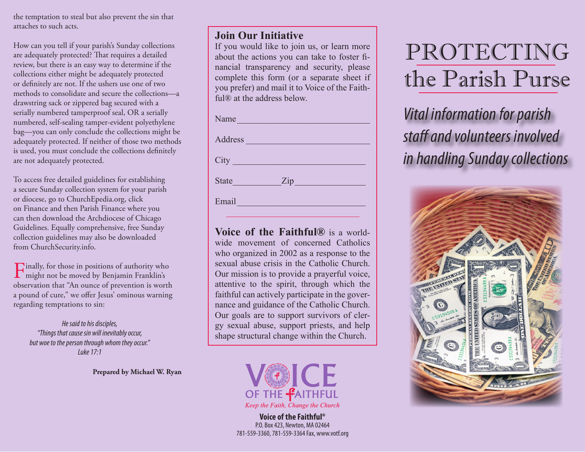the temptation to steal but also prevent the sin that attaches to such acts.

How can you tell if your parish's Sunday collections are adequately protected? That requires a detailed review, but there is an easy way to determine if the collections either might be adequately protected or definitely are not. If the ushers use one of two methods to consolidate and secure the collections—a drawstring sack or zippered bag secured with a serially numbered tamperproof seal, OR a serially numbered, self-sealing tamper-evident polyethylene bag—you can only conclude the collections might be adequately protected. If neither of those two methods is used, you must conclude the collections definitely are not adequately protected.

To access free detailed guidelines for establishing a secure Sunday collection system for your parish or diocese, go to ChurchEpedia.org, click on Finance and then Parish Finance where you can then download the Archdiocese of Chicago Guidelines. Equally comprehensive, free Sunday collection guidelines may also be downloaded from ChurchSecurity.info.

Finally, for those in positions of authority who might not be moved by Benjamin Franklin's observation that "An ounce of prevention is worth a pound of cure," we offer Jesus' ominous warning regarding temptations to sin:

*He said to his disciples, "Things that cause sin will inevitably occur, but woe to the person through whom they occur." Luke 17:1*

**Prepared by Michael W. Ryan** 

## **Join Our Initiative**

If you would like to join us, or learn more about the actions you can take to foster financial transparency and security, please complete this form (or a separate sheet if you prefer) and mail it to Voice of the Faithful® at the address below.

| Name                                             |
|--------------------------------------------------|
|                                                  |
| Address                                          |
| City                                             |
| <b>State</b>                                     |
| Email<br><u> 1999 - Johann Barbara, martxa a</u> |
|                                                  |

**Voice of the Faithful®** is a worldwide movement of concerned Catholics who organized in 2002 as a response to the sexual abuse crisis in the Catholic Church. Our mission is to provide a prayerful voice, attentive to the spirit, through which the faithful can actively participate in the governance and guidance of the Catholic Church. Our goals are to support survivors of clergy sexual abuse, support priests, and help shape structural change within the Church.



**Voice of the Faithful®** P.O. Box 423, Newton, MA 02464 781-559-3360, 781-559-3364 Fax, www.votf.org

## PROTECTING the Parish Purse

*Vital information for parish staff and volunteers involved in handling Sunday collections*